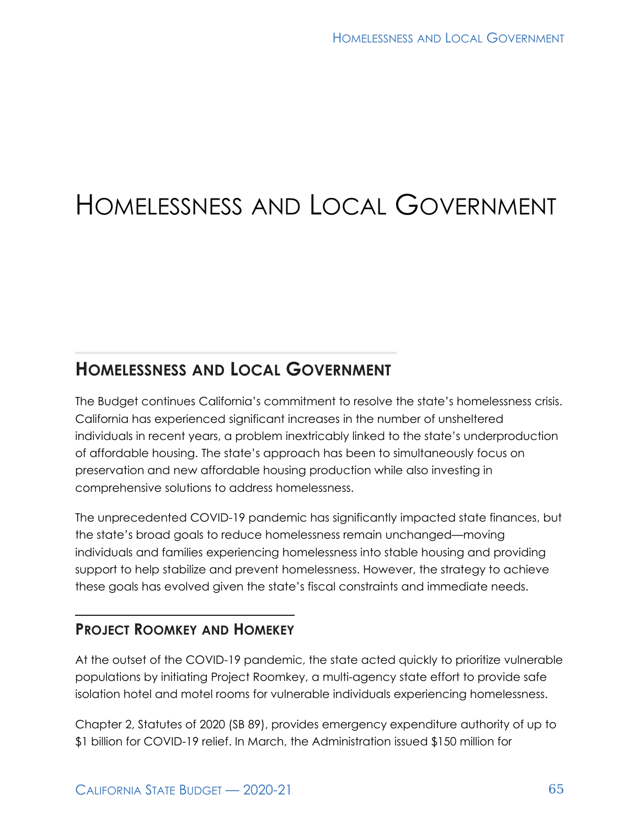# HOMELESSNESS AND LOCAL GOVERNMENT

# **HOMELESSNESS AND LOCAL GOVERNMENT**

The Budget continues California's commitment to resolve the state's homelessness crisis. California has experienced significant increases in the number of unsheltered individuals in recent years, a problem inextricably linked to the state's underproduction of affordable housing. The state's approach has been to simultaneously focus on preservation and new affordable housing production while also investing in comprehensive solutions to address homelessness.

The unprecedented COVID-19 pandemic has significantly impacted state finances, but the state's broad goals to reduce homelessness remain unchanged—moving individuals and families experiencing homelessness into stable housing and providing support to help stabilize and prevent homelessness. However, the strategy to achieve these goals has evolved given the state's fiscal constraints and immediate needs.

## **PROJECT ROOMKEY AND HOMEKEY**

At the outset of the COVID-19 pandemic, the state acted quickly to prioritize vulnerable populations by initiating Project Roomkey, a multi-agency state effort to provide safe isolation hotel and motel rooms for vulnerable individuals experiencing homelessness.

Chapter 2, Statutes of 2020 (SB 89), provides emergency expenditure authority of up to \$1 billion for COVID-19 relief. In March, the Administration issued \$150 million for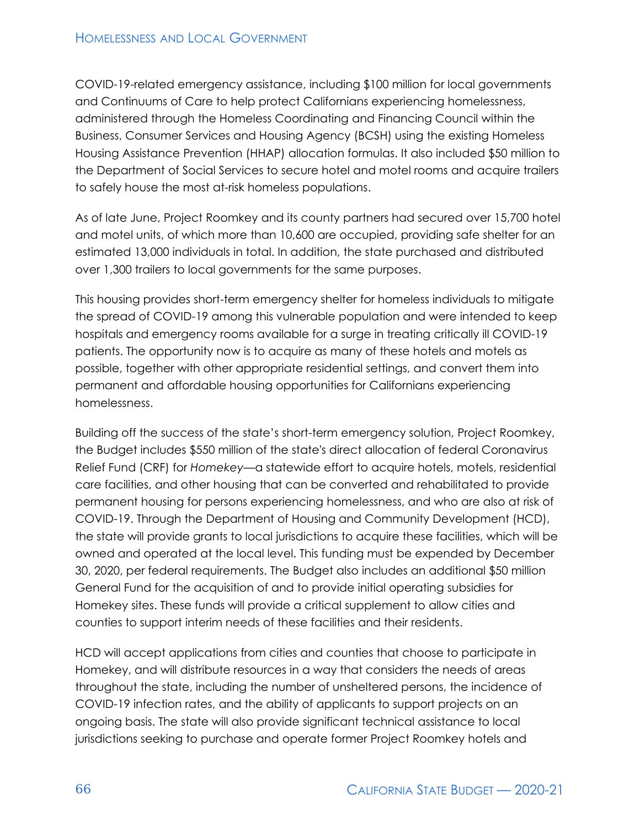#### HOMELESSNESS AND LOCAL GOVERNMENT

COVID-19-related emergency assistance, including \$100 million for local governments and Continuums of Care to help protect Californians experiencing homelessness, administered through the Homeless Coordinating and Financing Council within the Business, Consumer Services and Housing Agency (BCSH) using the existing Homeless Housing Assistance Prevention (HHAP) allocation formulas. It also included \$50 million to the Department of Social Services to secure hotel and motel rooms and acquire trailers to safely house the most at-risk homeless populations.

As of late June, Project Roomkey and its county partners had secured over 15,700 hotel and motel units, of which more than 10,600 are occupied, providing safe shelter for an estimated 13,000 individuals in total. In addition, the state purchased and distributed over 1,300 trailers to local governments for the same purposes.

This housing provides short-term emergency shelter for homeless individuals to mitigate the spread of COVID-19 among this vulnerable population and were intended to keep hospitals and emergency rooms available for a surge in treating critically ill COVID-19 patients. The opportunity now is to acquire as many of these hotels and motels as possible, together with other appropriate residential settings, and convert them into permanent and affordable housing opportunities for Californians experiencing homelessness.

Building off the success of the state's short-term emergency solution, Project Roomkey, the Budget includes \$550 million of the state's direct allocation of federal Coronavirus Relief Fund (CRF) for *Homekey—*a statewide effort to acquire hotels, motels, residential care facilities, and other housing that can be converted and rehabilitated to provide permanent housing for persons experiencing homelessness, and who are also at risk of COVID-19. Through the Department of Housing and Community Development (HCD), the state will provide grants to local jurisdictions to acquire these facilities, which will be owned and operated at the local level. This funding must be expended by December 30, 2020, per federal requirements. The Budget also includes an additional \$50 million General Fund for the acquisition of and to provide initial operating subsidies for Homekey sites. These funds will provide a critical supplement to allow cities and counties to support interim needs of these facilities and their residents.

HCD will accept applications from cities and counties that choose to participate in Homekey, and will distribute resources in a way that considers the needs of areas throughout the state, including the number of unsheltered persons, the incidence of COVID-19 infection rates, and the ability of applicants to support projects on an ongoing basis. The state will also provide significant technical assistance to local jurisdictions seeking to purchase and operate former Project Roomkey hotels and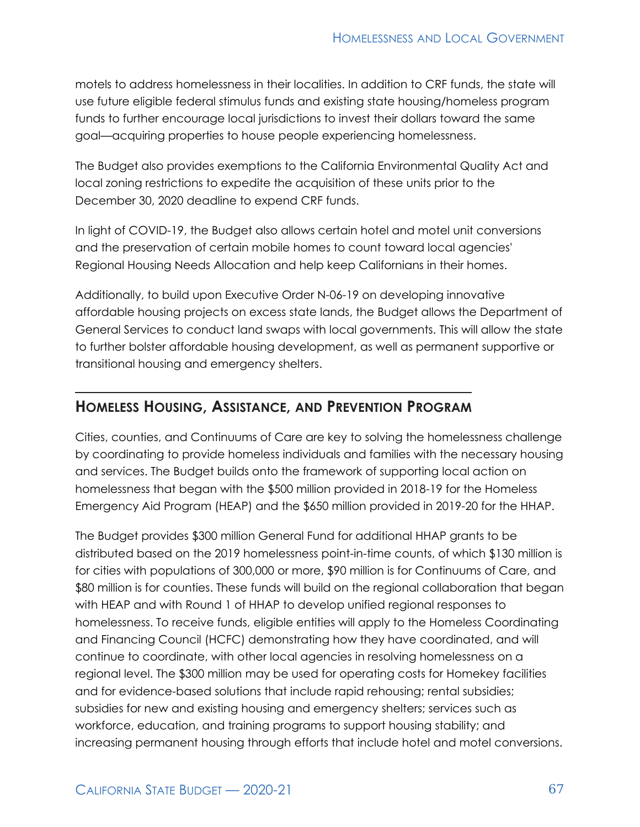motels to address homelessness in their localities. In addition to CRF funds, the state will use future eligible federal stimulus funds and existing state housing/homeless program funds to further encourage local jurisdictions to invest their dollars toward the same goal—acquiring properties to house people experiencing homelessness.

The Budget also provides exemptions to the California Environmental Quality Act and local zoning restrictions to expedite the acquisition of these units prior to the December 30, 2020 deadline to expend CRF funds.

In light of COVID-19, the Budget also allows certain hotel and motel unit conversions and the preservation of certain mobile homes to count toward local agencies' Regional Housing Needs Allocation and help keep Californians in their homes.

Additionally, to build upon Executive Order N-06-19 on developing innovative affordable housing projects on excess state lands, the Budget allows the Department of General Services to conduct land swaps with local governments. This will allow the state to further bolster affordable housing development, as well as permanent supportive or transitional housing and emergency shelters.

### **HOMELESS HOUSING, ASSISTANCE, AND PREVENTION PROGRAM**

Cities, counties, and Continuums of Care are key to solving the homelessness challenge by coordinating to provide homeless individuals and families with the necessary housing and services. The Budget builds onto the framework of supporting local action on homelessness that began with the \$500 million provided in 2018-19 for the Homeless Emergency Aid Program (HEAP) and the \$650 million provided in 2019-20 for the HHAP.

The Budget provides \$300 million General Fund for additional HHAP grants to be distributed based on the 2019 homelessness point-in-time counts, of which \$130 million is for cities with populations of 300,000 or more, \$90 million is for Continuums of Care, and \$80 million is for counties. These funds will build on the regional collaboration that began with HEAP and with Round 1 of HHAP to develop unified regional responses to homelessness. To receive funds, eligible entities will apply to the Homeless Coordinating and Financing Council (HCFC) demonstrating how they have coordinated, and will continue to coordinate, with other local agencies in resolving homelessness on a regional level. The \$300 million may be used for operating costs for Homekey facilities and for evidence-based solutions that include rapid rehousing; rental subsidies; subsidies for new and existing housing and emergency shelters; services such as workforce, education, and training programs to support housing stability; and increasing permanent housing through efforts that include hotel and motel conversions.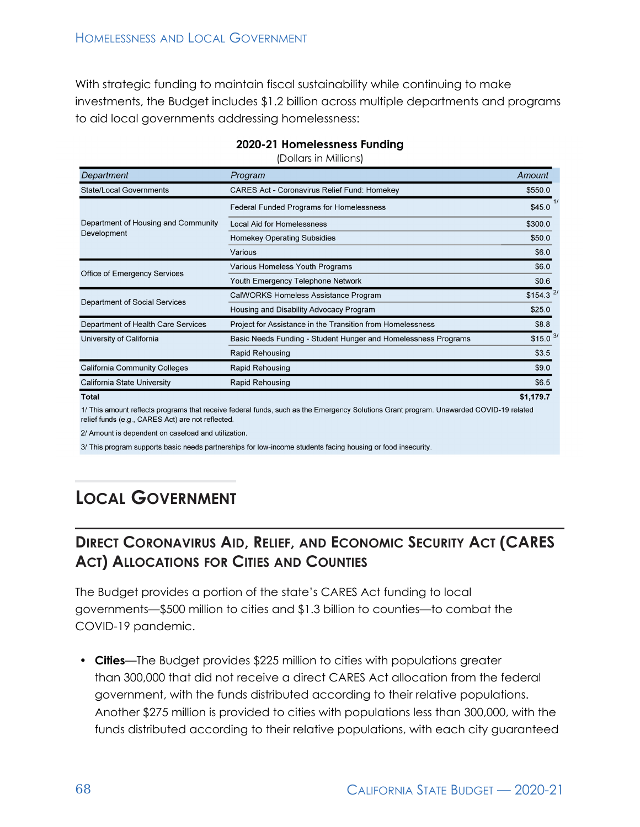With strategic funding to maintain fiscal sustainability while continuing to make investments, the Budget includes \$1.2 billion across multiple departments and programs to aid local governments addressing homelessness:

| Department                                         | Program                                                        | Amount                 |
|----------------------------------------------------|----------------------------------------------------------------|------------------------|
| <b>State/Local Governments</b>                     | <b>CARES Act - Coronavirus Relief Fund: Homekey</b>            | \$550.0                |
| Department of Housing and Community<br>Development | Federal Funded Programs for Homelessness                       | \$45.0                 |
|                                                    | Local Aid for Homelessness                                     | \$300.0                |
|                                                    | <b>Homekey Operating Subsidies</b>                             | \$50.0                 |
|                                                    | Various                                                        | \$6.0                  |
| <b>Office of Emergency Services</b>                | Various Homeless Youth Programs                                | \$6.0                  |
|                                                    | Youth Emergency Telephone Network                              | \$0.6                  |
| Department of Social Services                      | CalWORKS Homeless Assistance Program                           | $$154.3$ <sup>2/</sup> |
|                                                    | Housing and Disability Advocacy Program                        | \$25.0                 |
| Department of Health Care Services                 | Project for Assistance in the Transition from Homelessness     | \$8.8                  |
| University of California                           | Basic Needs Funding - Student Hunger and Homelessness Programs | $$15.0$ 3/             |
|                                                    | <b>Rapid Rehousing</b>                                         | \$3.5                  |
| <b>California Community Colleges</b>               | Rapid Rehousing                                                | \$9.0                  |
| California State University                        | Rapid Rehousing                                                | \$6.5                  |
| Total                                              |                                                                | \$1,179.7              |

#### 2020-21 Homelessness Funding

(Dollars in Millions)

1/ This amount reflects programs that receive federal funds, such as the Emergency Solutions Grant program. Unawarded COVID-19 related relief funds (e.g., CARES Act) are not reflected.

2/ Amount is dependent on caseload and utilization.

3/ This program supports basic needs partnerships for low-income students facing housing or food insecurity.

# **LOCAL GOVERNMENT**

# **DIRECT CORONAVIRUS AID, RELIEF, AND ECONOMIC SECURITY ACT (CARES ACT) ALLOCATIONS FOR CITIES AND COUNTIES**

The Budget provides a portion of the state's CARES Act funding to local governments—\$500 million to cities and \$1.3 billion to counties—to combat the COVID-19 pandemic.

• **Cities**—The Budget provides \$225 million to cities with populations greater than 300,000 that did not receive a direct CARES Act allocation from the federal government, with the funds distributed according to their relative populations. Another \$275 million is provided to cities with populations less than 300,000, with the funds distributed according to their relative populations, with each city guaranteed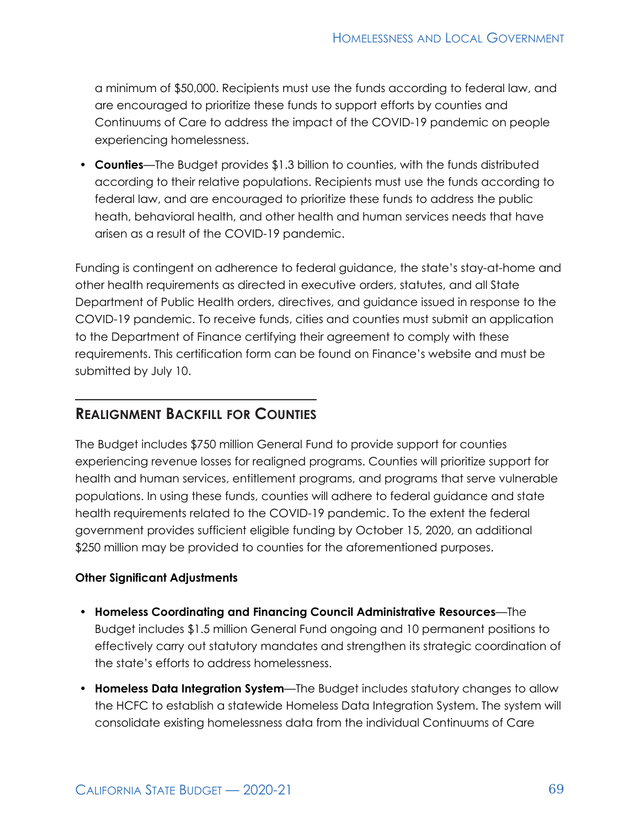a minimum of \$50,000. Recipients must use the funds according to federal law, and are encouraged to prioritize these funds to support efforts by counties and Continuums of Care to address the impact of the COVID-19 pandemic on people experiencing homelessness.

• **Counties**—The Budget provides \$1.3 billion to counties, with the funds distributed according to their relative populations. Recipients must use the funds according to federal law, and are encouraged to prioritize these funds to address the public heath, behavioral health, and other health and human services needs that have arisen as a result of the COVID-19 pandemic.

Funding is contingent on adherence to federal guidance, the state's stay-at-home and other health requirements as directed in executive orders, statutes, and all State Department of Public Health orders, directives, and guidance issued in response to the COVID-19 pandemic. To receive funds, cities and counties must submit an application to the Department of Finance certifying their agreement to comply with these requirements. This certification form can be found on Finance's website and must be submitted by July 10.

#### **REALIGNMENT BACKFILL FOR COUNTIES**

The Budget includes \$750 million General Fund to provide support for counties experiencing revenue losses for realigned programs. Counties will prioritize support for health and human services, entitlement programs, and programs that serve vulnerable populations. In using these funds, counties will adhere to federal guidance and state health requirements related to the COVID-19 pandemic. To the extent the federal government provides sufficient eligible funding by October 15, 2020, an additional \$250 million may be provided to counties for the aforementioned purposes.

#### **Other Significant Adjustments**

- **Homeless Coordinating and Financing Council Administrative Resources**—The Budget includes \$1.5 million General Fund ongoing and 10 permanent positions to effectively carry out statutory mandates and strengthen its strategic coordination of the state's efforts to address homelessness.
- **Homeless Data Integration System**—The Budget includes statutory changes to allow the HCFC to establish a statewide Homeless Data Integration System. The system will consolidate existing homelessness data from the individual Continuums of Care